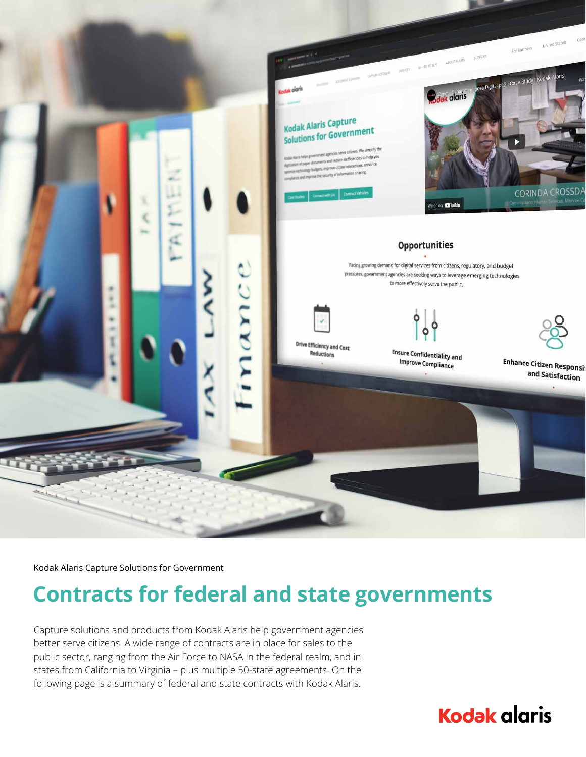

Kodak Alaris Capture Solutions for Government

## **Contracts for federal and state governments**

Capture solutions and products from Kodak Alaris help government agencies better serve citizens. A wide range of contracts are in place for sales to the public sector, ranging from the Air Force to NASA in the federal realm, and in states from California to Virginia – plus multiple 50-state agreements. On the following page is a summary of federal and state contracts with Kodak Alaris.